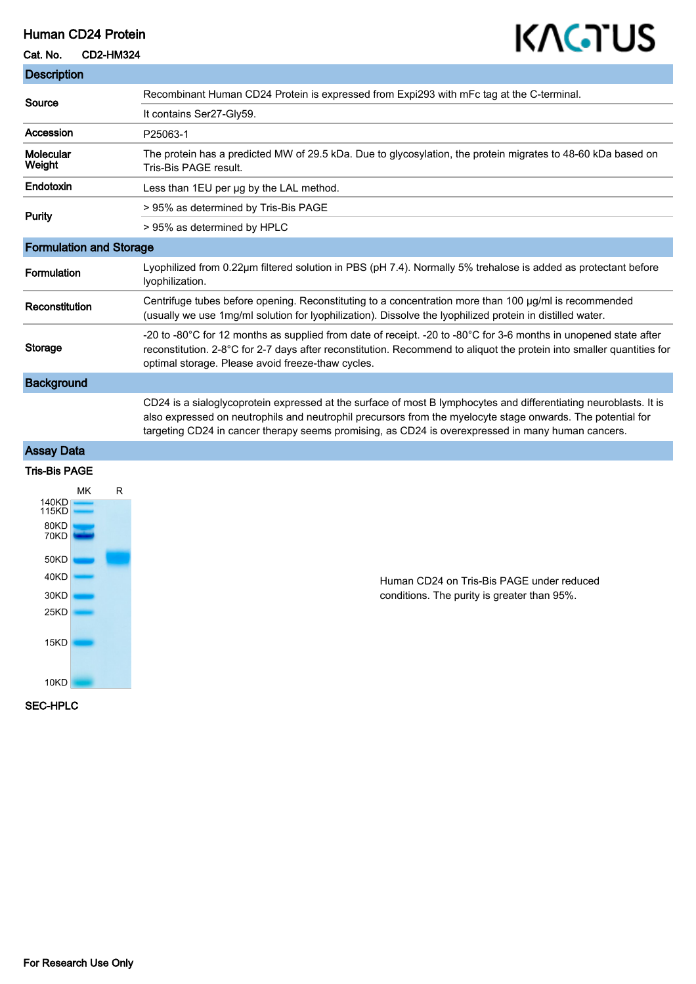## Human CD24 Protein

## Cat. No. CD2-HM324

# KAGTUS

| <b>Description</b>             |   |                                                                                                                                                                                                                                                                                                                                       |
|--------------------------------|---|---------------------------------------------------------------------------------------------------------------------------------------------------------------------------------------------------------------------------------------------------------------------------------------------------------------------------------------|
| Source                         |   | Recombinant Human CD24 Protein is expressed from Expi293 with mFc tag at the C-terminal.                                                                                                                                                                                                                                              |
|                                |   | It contains Ser27-Gly59.                                                                                                                                                                                                                                                                                                              |
| Accession                      |   | P25063-1                                                                                                                                                                                                                                                                                                                              |
| Molecular<br>Weight            |   | The protein has a predicted MW of 29.5 kDa. Due to glycosylation, the protein migrates to 48-60 kDa based on<br>Tris-Bis PAGE result.                                                                                                                                                                                                 |
| Endotoxin                      |   | Less than 1EU per ug by the LAL method.                                                                                                                                                                                                                                                                                               |
| <b>Purity</b>                  |   | > 95% as determined by Tris-Bis PAGE                                                                                                                                                                                                                                                                                                  |
|                                |   | > 95% as determined by HPLC                                                                                                                                                                                                                                                                                                           |
| <b>Formulation and Storage</b> |   |                                                                                                                                                                                                                                                                                                                                       |
| Formulation                    |   | Lyophilized from 0.22µm filtered solution in PBS (pH 7.4). Normally 5% trehalose is added as protectant before<br>lyophilization.                                                                                                                                                                                                     |
| Reconstitution                 |   | Centrifuge tubes before opening. Reconstituting to a concentration more than 100 µg/ml is recommended<br>(usually we use 1mg/ml solution for lyophilization). Dissolve the lyophilized protein in distilled water.                                                                                                                    |
| Storage                        |   | -20 to -80°C for 12 months as supplied from date of receipt. -20 to -80°C for 3-6 months in unopened state after<br>reconstitution. 2-8°C for 2-7 days after reconstitution. Recommend to aliquot the protein into smaller quantities for<br>optimal storage. Please avoid freeze-thaw cycles.                                        |
| <b>Background</b>              |   |                                                                                                                                                                                                                                                                                                                                       |
|                                |   | CD24 is a sialoglycoprotein expressed at the surface of most B lymphocytes and differentiating neuroblasts. It is<br>also expressed on neutrophils and neutrophil precursors from the myelocyte stage onwards. The potential for<br>targeting CD24 in cancer therapy seems promising, as CD24 is overexpressed in many human cancers. |
| <b>Assay Data</b>              |   |                                                                                                                                                                                                                                                                                                                                       |
| <b>Tris-Bis PAGE</b>           |   |                                                                                                                                                                                                                                                                                                                                       |
| <b>MK</b>                      | R |                                                                                                                                                                                                                                                                                                                                       |
| 140KD<br>115KD                 |   |                                                                                                                                                                                                                                                                                                                                       |
| 80KD<br>70KD                   |   |                                                                                                                                                                                                                                                                                                                                       |

Human CD24 on Tris-Bis PAGE under reduced conditions. The purity is greater than 95%.

SEC-HPLC

50KD 40KD 30KD  $25KD$ 

15KD

10KD